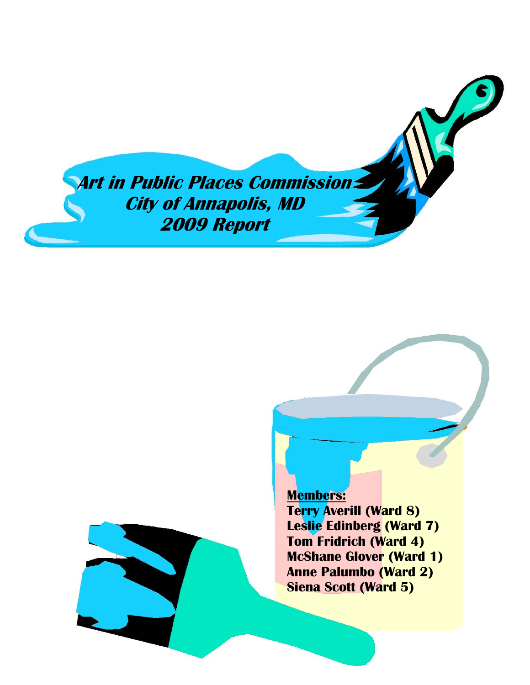**Art in Public Places Commission City of Annapolis, MD 2009 Report** 

**Members:**

**Terry Averill (Ward 8) Leslie Edinberg (Ward 7) Tom Fridrich (Ward 4) McShane Glover (Ward 1) Anne Palumbo (Ward 2) Siena Scott (Ward 5)**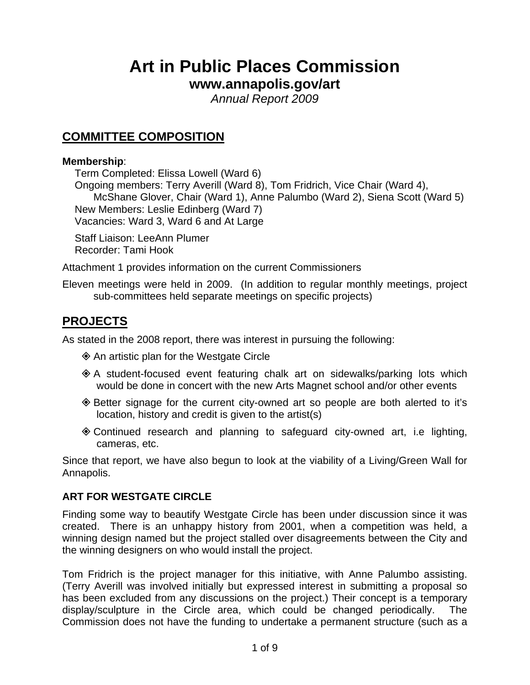# **Art in Public Places Commission**

# **www.annapolis.gov/art**

*Annual Report 2009* 

# **COMMITTEE COMPOSITION**

#### **Membership**:

Term Completed: Elissa Lowell (Ward 6) Ongoing members: Terry Averill (Ward 8), Tom Fridrich, Vice Chair (Ward 4), McShane Glover, Chair (Ward 1), Anne Palumbo (Ward 2), Siena Scott (Ward 5) New Members: Leslie Edinberg (Ward 7) Vacancies: Ward 3, Ward 6 and At Large

Staff Liaison: LeeAnn Plumer Recorder: Tami Hook

Attachment 1 provides information on the current Commissioners

Eleven meetings were held in 2009. (In addition to regular monthly meetings, project sub-committees held separate meetings on specific projects)

# **PROJECTS**

As stated in the 2008 report, there was interest in pursuing the following:

- An artistic plan for the Westgate Circle
- A student-focused event featuring chalk art on sidewalks/parking lots which would be done in concert with the new Arts Magnet school and/or other events
- Better signage for the current city-owned art so people are both alerted to it's location, history and credit is given to the artist(s)
- Continued research and planning to safeguard city-owned art, i.e lighting, cameras, etc.

Since that report, we have also begun to look at the viability of a Living/Green Wall for Annapolis.

## **ART FOR WESTGATE CIRCLE**

Finding some way to beautify Westgate Circle has been under discussion since it was created. There is an unhappy history from 2001, when a competition was held, a winning design named but the project stalled over disagreements between the City and the winning designers on who would install the project.

Tom Fridrich is the project manager for this initiative, with Anne Palumbo assisting. (Terry Averill was involved initially but expressed interest in submitting a proposal so has been excluded from any discussions on the project.) Their concept is a temporary display/sculpture in the Circle area, which could be changed periodically. The Commission does not have the funding to undertake a permanent structure (such as a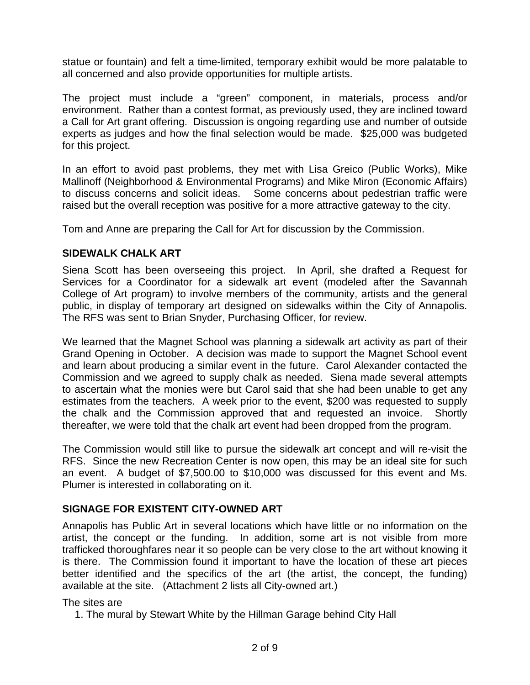statue or fountain) and felt a time-limited, temporary exhibit would be more palatable to all concerned and also provide opportunities for multiple artists.

The project must include a "green" component, in materials, process and/or environment. Rather than a contest format, as previously used, they are inclined toward a Call for Art grant offering. Discussion is ongoing regarding use and number of outside experts as judges and how the final selection would be made. \$25,000 was budgeted for this project.

In an effort to avoid past problems, they met with Lisa Greico (Public Works), Mike Mallinoff (Neighborhood & Environmental Programs) and Mike Miron (Economic Affairs) to discuss concerns and solicit ideas. Some concerns about pedestrian traffic were raised but the overall reception was positive for a more attractive gateway to the city.

Tom and Anne are preparing the Call for Art for discussion by the Commission.

## **SIDEWALK CHALK ART**

Siena Scott has been overseeing this project. In April, she drafted a Request for Services for a Coordinator for a sidewalk art event (modeled after the Savannah College of Art program) to involve members of the community, artists and the general public, in display of temporary art designed on sidewalks within the City of Annapolis. The RFS was sent to Brian Snyder, Purchasing Officer, for review.

We learned that the Magnet School was planning a sidewalk art activity as part of their Grand Opening in October. A decision was made to support the Magnet School event and learn about producing a similar event in the future. Carol Alexander contacted the Commission and we agreed to supply chalk as needed. Siena made several attempts to ascertain what the monies were but Carol said that she had been unable to get any estimates from the teachers. A week prior to the event, \$200 was requested to supply the chalk and the Commission approved that and requested an invoice. Shortly thereafter, we were told that the chalk art event had been dropped from the program.

The Commission would still like to pursue the sidewalk art concept and will re-visit the RFS. Since the new Recreation Center is now open, this may be an ideal site for such an event. A budget of \$7,500.00 to \$10,000 was discussed for this event and Ms. Plumer is interested in collaborating on it.

## **SIGNAGE FOR EXISTENT CITY-OWNED ART**

Annapolis has Public Art in several locations which have little or no information on the artist, the concept or the funding. In addition, some art is not visible from more trafficked thoroughfares near it so people can be very close to the art without knowing it is there. The Commission found it important to have the location of these art pieces better identified and the specifics of the art (the artist, the concept, the funding) available at the site. (Attachment 2 lists all City-owned art.)

## The sites are

1. The mural by Stewart White by the Hillman Garage behind City Hall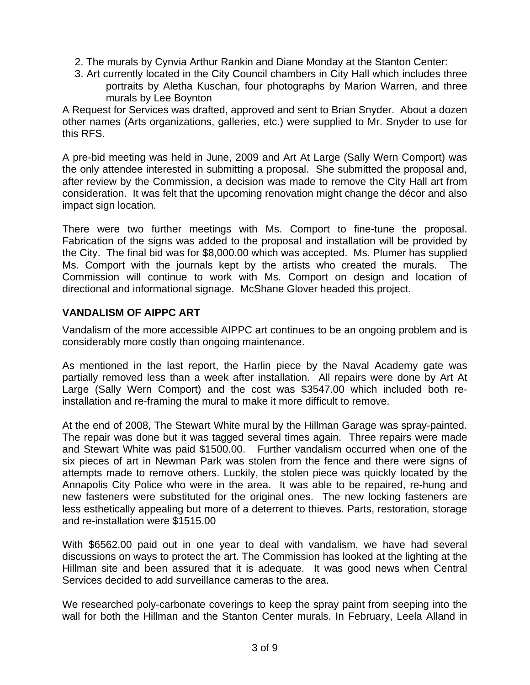- 2. The murals by Cynvia Arthur Rankin and Diane Monday at the Stanton Center:
- 3. Art currently located in the City Council chambers in City Hall which includes three portraits by Aletha Kuschan, four photographs by Marion Warren, and three murals by Lee Boynton

A Request for Services was drafted, approved and sent to Brian Snyder. About a dozen other names (Arts organizations, galleries, etc.) were supplied to Mr. Snyder to use for this RFS.

A pre-bid meeting was held in June, 2009 and Art At Large (Sally Wern Comport) was the only attendee interested in submitting a proposal. She submitted the proposal and, after review by the Commission, a decision was made to remove the City Hall art from consideration. It was felt that the upcoming renovation might change the décor and also impact sign location.

There were two further meetings with Ms. Comport to fine-tune the proposal. Fabrication of the signs was added to the proposal and installation will be provided by the City. The final bid was for \$8,000.00 which was accepted. Ms. Plumer has supplied Ms. Comport with the journals kept by the artists who created the murals. The Commission will continue to work with Ms. Comport on design and location of directional and informational signage. McShane Glover headed this project.

#### **VANDALISM OF AIPPC ART**

Vandalism of the more accessible AIPPC art continues to be an ongoing problem and is considerably more costly than ongoing maintenance.

As mentioned in the last report, the Harlin piece by the Naval Academy gate was partially removed less than a week after installation. All repairs were done by Art At Large (Sally Wern Comport) and the cost was \$3547.00 which included both reinstallation and re-framing the mural to make it more difficult to remove.

At the end of 2008, The Stewart White mural by the Hillman Garage was spray-painted. The repair was done but it was tagged several times again. Three repairs were made and Stewart White was paid \$1500.00. Further vandalism occurred when one of the six pieces of art in Newman Park was stolen from the fence and there were signs of attempts made to remove others. Luckily, the stolen piece was quickly located by the Annapolis City Police who were in the area. It was able to be repaired, re-hung and new fasteners were substituted for the original ones. The new locking fasteners are less esthetically appealing but more of a deterrent to thieves. Parts, restoration, storage and re-installation were \$1515.00

With \$6562.00 paid out in one year to deal with vandalism, we have had several discussions on ways to protect the art. The Commission has looked at the lighting at the Hillman site and been assured that it is adequate. It was good news when Central Services decided to add surveillance cameras to the area.

We researched poly-carbonate coverings to keep the spray paint from seeping into the wall for both the Hillman and the Stanton Center murals. In February, Leela Alland in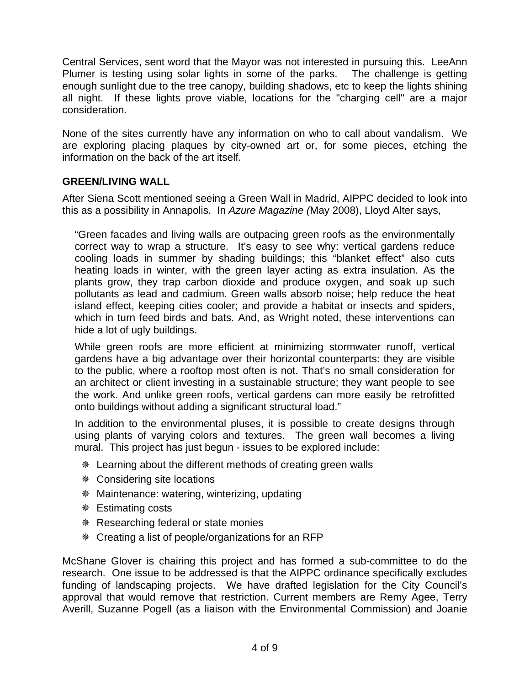Central Services, sent word that the Mayor was not interested in pursuing this. LeeAnn Plumer is testing using solar lights in some of the parks. The challenge is getting enough sunlight due to the tree canopy, building shadows, etc to keep the lights shining all night. If these lights prove viable, locations for the "charging cell" are a major consideration.

None of the sites currently have any information on who to call about vandalism. We are exploring placing plaques by city-owned art or, for some pieces, etching the information on the back of the art itself.

#### **GREEN/LIVING WALL**

After Siena Scott mentioned seeing a Green Wall in Madrid, AIPPC decided to look into this as a possibility in Annapolis. In *Azure Magazine (*May 2008), Lloyd Alter says,

"Green facades and living walls are outpacing green roofs as the environmentally correct way to wrap a structure. It's easy to see why: vertical gardens reduce cooling loads in summer by shading buildings; this "blanket effect" also cuts heating loads in winter, with the green layer acting as extra insulation. As the plants grow, they trap carbon dioxide and produce oxygen, and soak up such pollutants as lead and cadmium. Green walls absorb noise; help reduce the heat island effect, keeping cities cooler; and provide a habitat or insects and spiders, which in turn feed birds and bats. And, as Wright noted, these interventions can hide a lot of ugly buildings.

While green roofs are more efficient at minimizing stormwater runoff, vertical gardens have a big advantage over their horizontal counterparts: they are visible to the public, where a rooftop most often is not. That's no small consideration for an architect or client investing in a sustainable structure; they want people to see the work. And unlike green roofs, vertical gardens can more easily be retrofitted onto buildings without adding a significant structural load."

In addition to the environmental pluses, it is possible to create designs through using plants of varying colors and textures. The green wall becomes a living mural. This project has just begun - issues to be explored include:

- Learning about the different methods of creating green walls
- Considering site locations
- Maintenance: watering, winterizing, updating
- **\*** Estimating costs
- **& Researching federal or state monies**
- Creating a list of people/organizations for an RFP

McShane Glover is chairing this project and has formed a sub-committee to do the research. One issue to be addressed is that the AIPPC ordinance specifically excludes funding of landscaping projects. We have drafted legislation for the City Council's approval that would remove that restriction. Current members are Remy Agee, Terry Averill, Suzanne Pogell (as a liaison with the Environmental Commission) and Joanie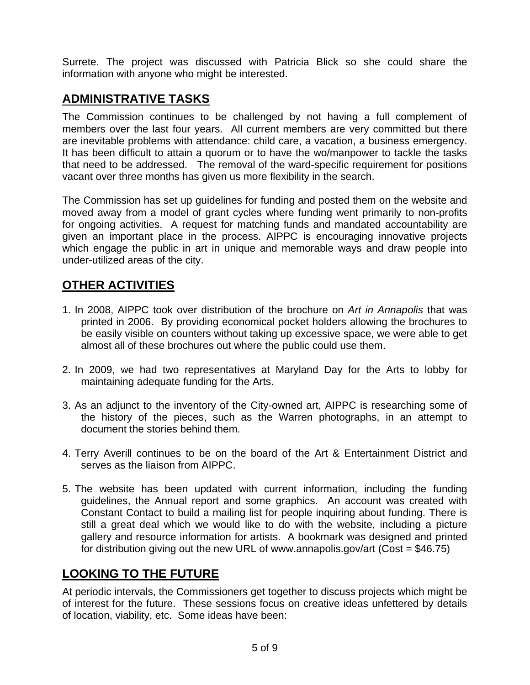Surrete. The project was discussed with Patricia Blick so she could share the information with anyone who might be interested.

# **ADMINISTRATIVE TASKS**

The Commission continues to be challenged by not having a full complement of members over the last four years. All current members are very committed but there are inevitable problems with attendance: child care, a vacation, a business emergency. It has been difficult to attain a quorum or to have the wo/manpower to tackle the tasks that need to be addressed. The removal of the ward-specific requirement for positions vacant over three months has given us more flexibility in the search.

The Commission has set up guidelines for funding and posted them on the website and moved away from a model of grant cycles where funding went primarily to non-profits for ongoing activities. A request for matching funds and mandated accountability are given an important place in the process. AIPPC is encouraging innovative projects which engage the public in art in unique and memorable ways and draw people into under-utilized areas of the city.

# **OTHER ACTIVITIES**

- 1. In 2008, AIPPC took over distribution of the brochure on *Art in Annapolis* that was printed in 2006. By providing economical pocket holders allowing the brochures to be easily visible on counters without taking up excessive space, we were able to get almost all of these brochures out where the public could use them.
- 2. In 2009, we had two representatives at Maryland Day for the Arts to lobby for maintaining adequate funding for the Arts.
- 3. As an adjunct to the inventory of the City-owned art, AIPPC is researching some of the history of the pieces, such as the Warren photographs, in an attempt to document the stories behind them.
- 4. Terry Averill continues to be on the board of the Art & Entertainment District and serves as the liaison from AIPPC.
- 5. The website has been updated with current information, including the funding guidelines, the Annual report and some graphics. An account was created with Constant Contact to build a mailing list for people inquiring about funding. There is still a great deal which we would like to do with the website, including a picture gallery and resource information for artists. A bookmark was designed and printed for distribution giving out the new URL of www.annapolis.gov/art (Cost =  $$46.75$ )

# **LOOKING TO THE FUTURE**

At periodic intervals, the Commissioners get together to discuss projects which might be of interest for the future. These sessions focus on creative ideas unfettered by details of location, viability, etc. Some ideas have been: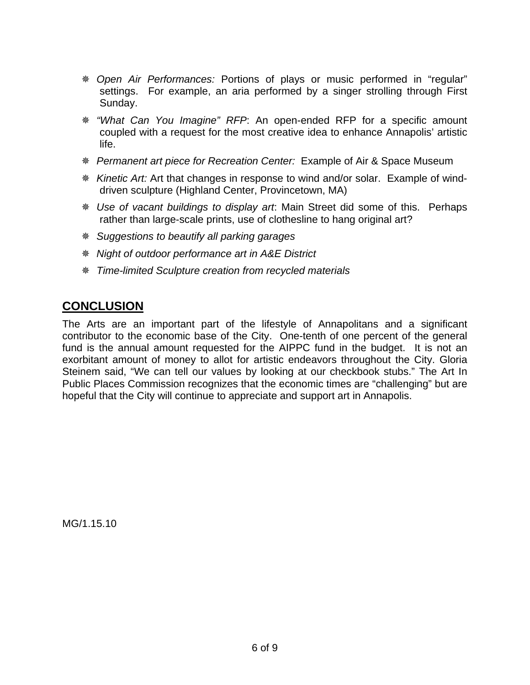- *Open Air Performances:* Portions of plays or music performed in "regular" settings. For example, an aria performed by a singer strolling through First Sunday.
- *"What Can You Imagine" RFP*: An open-ended RFP for a specific amount coupled with a request for the most creative idea to enhance Annapolis' artistic life.
- *Permanent art piece for Recreation Center:* Example of Air & Space Museum
- *Kinetic Art:* Art that changes in response to wind and/or solar. Example of winddriven sculpture (Highland Center, Provincetown, MA)
- *Use of vacant buildings to display art*: Main Street did some of this. Perhaps rather than large-scale prints, use of clothesline to hang original art?
- *Suggestions to beautify all parking garages*
- *Night of outdoor performance art in A&E District*
- *Time-limited Sculpture creation from recycled materials*

## **CONCLUSION**

The Arts are an important part of the lifestyle of Annapolitans and a significant contributor to the economic base of the City. One-tenth of one percent of the general fund is the annual amount requested for the AIPPC fund in the budget. It is not an exorbitant amount of money to allot for artistic endeavors throughout the City. Gloria Steinem said, "We can tell our values by looking at our checkbook stubs." The Art In Public Places Commission recognizes that the economic times are "challenging" but are hopeful that the City will continue to appreciate and support art in Annapolis.

MG/1.15.10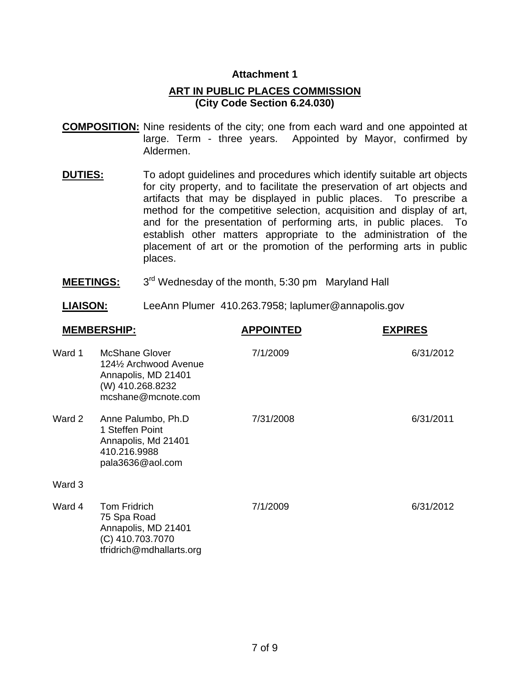#### **Attachment 1**

#### **ART IN PUBLIC PLACES COMMISSION (City Code Section 6.24.030)**

- **COMPOSITION:** Nine residents of the city; one from each ward and one appointed at large. Term - three years. Appointed by Mayor, confirmed by Aldermen.
- **DUTIES:** To adopt guidelines and procedures which identify suitable art objects for city property, and to facilitate the preservation of art objects and artifacts that may be displayed in public places. To prescribe a method for the competitive selection, acquisition and display of art, and for the presentation of performing arts, in public places. To establish other matters appropriate to the administration of the placement of art or the promotion of the performing arts in public places.
- **MEETINGS:** 3<sup>rd</sup> Wednesday of the month, 5:30 pm Maryland Hall
- **LIAISON:** LeeAnn Plumer 410.263.7958; laplumer@annapolis.gov

| <b>MEMBERSHIP:</b> |                                                                                                           | <b>APPOINTED</b> | <b>EXPIRES</b> |  |
|--------------------|-----------------------------------------------------------------------------------------------------------|------------------|----------------|--|
| Ward 1             | McShane Glover<br>124½ Archwood Avenue<br>Annapolis, MD 21401<br>(W) 410.268.8232<br>mcshane@mcnote.com   | 7/1/2009         | 6/31/2012      |  |
| Ward 2             | Anne Palumbo, Ph.D<br>1 Steffen Point<br>Annapolis, Md 21401<br>410.216.9988<br>pala3636@aol.com          | 7/31/2008        | 6/31/2011      |  |
| Ward 3             |                                                                                                           |                  |                |  |
| Ward 4             | <b>Tom Fridrich</b><br>75 Spa Road<br>Annapolis, MD 21401<br>(C) 410.703.7070<br>tfridrich@mdhallarts.org | 7/1/2009         | 6/31/2012      |  |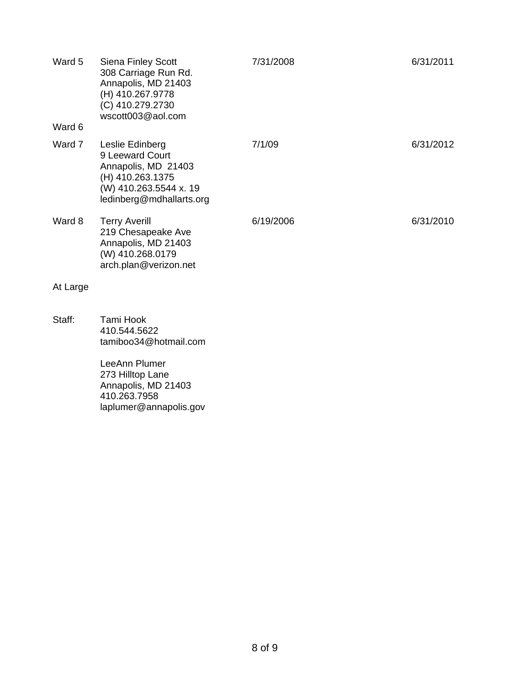| Ward 5   | <b>Siena Finley Scott</b><br>308 Carriage Run Rd.<br>Annapolis, MD 21403<br>(H) 410.267.9778<br>(C) 410.279.2730<br>wscott003@aol.com | 7/31/2008 | 6/31/2011 |
|----------|---------------------------------------------------------------------------------------------------------------------------------------|-----------|-----------|
| Ward 6   |                                                                                                                                       |           |           |
| Ward 7   | Leslie Edinberg<br>9 Leeward Court<br>Annapolis, MD 21403<br>(H) 410.263.1375<br>(W) 410.263.5544 x. 19<br>ledinberg@mdhallarts.org   | 7/1/09    | 6/31/2012 |
| Ward 8   | <b>Terry Averill</b><br>219 Chesapeake Ave<br>Annapolis, MD 21403<br>(W) 410.268.0179<br>arch.plan@verizon.net                        | 6/19/2006 | 6/31/2010 |
| At Large |                                                                                                                                       |           |           |
| Staff:   | Tami Hook<br>410.544.5622<br>tamiboo34@hotmail.com                                                                                    |           |           |
|          | LeeAnn Plumer<br>273 Hilltop Lane<br>Annapolis, MD 21403<br>410.263.7958<br>laplumer@annapolis.gov                                    |           |           |